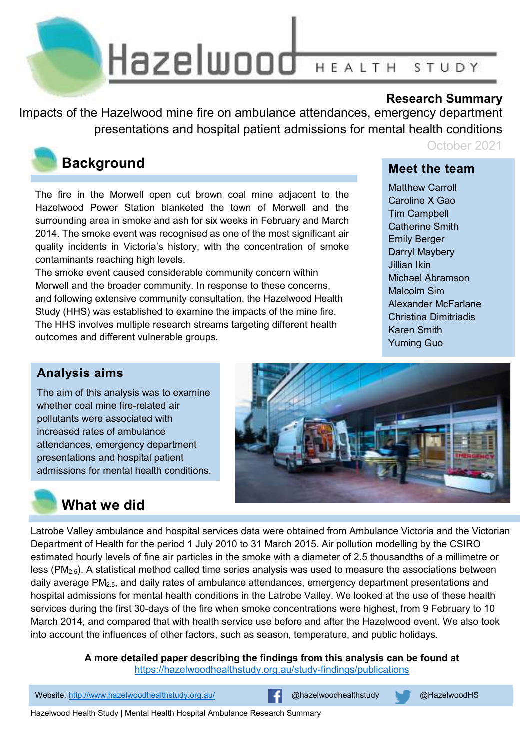

### **Research Summary**

Impacts of the Hazelwood mine fire on ambulance attendances, emergency department presentations and hospital patient admissions for mental health conditions



### **Background**

The fire in the Morwell open cut brown coal mine adjacent to the Hazelwood Power Station blanketed the town of Morwell and the surrounding area in smoke and ash for six weeks in February and March 2014. The smoke event was recognised as one of the most significant air quality incidents in Victoria's history, with the concentration of smoke contaminants reaching high levels.

The smoke event caused considerable community concern within Morwell and the broader community. In response to these concerns, and following extensive community consultation, the Hazelwood Health Study (HHS) was established to examine the impacts of the mine fire. The HHS involves multiple research streams targeting different health outcomes and different vulnerable groups.

### October 2021

### **Meet the team**

Matthew Carroll Caroline X Gao Tim Campbell Catherine Smith Emily Berger Darryl Maybery Jillian Ikin Michael Abramson Malcolm Sim Alexander McFarlane Christina Dimitriadis Karen Smith Yuming Guo

### **Analysis aims**

The aim of this analysis was to examine whether coal mine fire-related air pollutants were associated with increased rates of ambulance attendances, emergency department presentations and hospital patient admissions for mental health conditions.



# **What we did**

Latrobe Valley ambulance and hospital services data were obtained from Ambulance Victoria and the Victorian Department of Health for the period 1 July 2010 to 31 March 2015. Air pollution modelling by the CSIRO estimated hourly levels of fine air particles in the smoke with a diameter of 2.5 thousandths of a millimetre or  $\text{less } (PM_{2.5})$ . A statistical method called time series analysis was used to measure the associations between daily average PM2.5, and daily rates of ambulance attendances, emergency department presentations and hospital admissions for mental health conditions in the Latrobe Valley. We looked at the use of these health services during the first 30-days of the fire when smoke concentrations were highest, from 9 February to 10 March 2014, and compared that with health service use before and after the Hazelwood event. We also took into account the influences of other factors, such as season, temperature, and public holidays.

> **A more detailed paper describing the findings from this analysis can be found at**  https://hazelwoodhealthstudy.org.au/study-findings/publications

Website: http://www.hazelwoodhealthstudy.org.au/ **@hazelwoodhealthstudy & @HazelwoodHS** 

Hazelwood Health Study | Mental Health Hospital Ambulance Research Summary